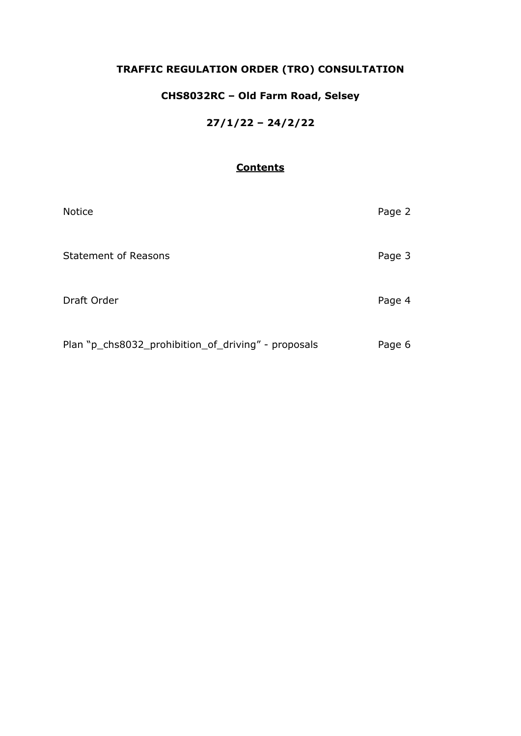# **TRAFFIC REGULATION ORDER (TRO) CONSULTATION**

# **CHS8032RC – Old Farm Road, Selsey**

## **27/1/22 – 24/2/22**

## **Contents**

| <b>Notice</b>                                       | Page 2 |
|-----------------------------------------------------|--------|
| <b>Statement of Reasons</b>                         | Page 3 |
| Draft Order                                         | Page 4 |
| Plan "p_chs8032_prohibition_of_driving" - proposals | Page 6 |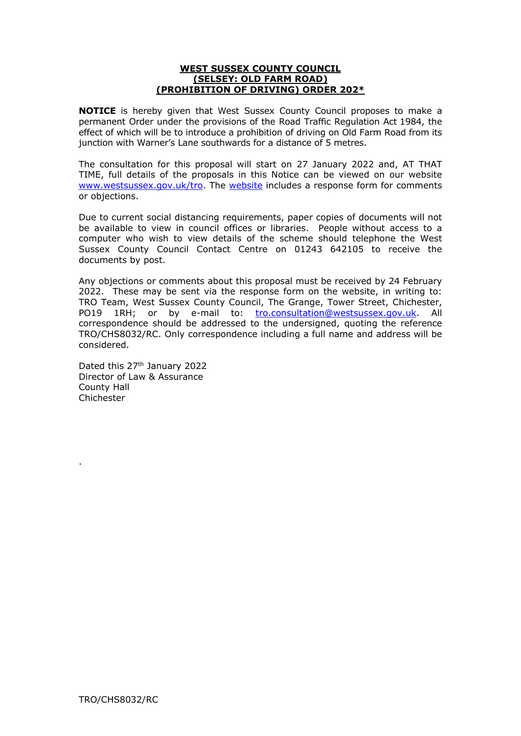#### **WEST SUSSEX COUNTY COUNCIL (SELSEY: OLD FARM ROAD) (PROHIBITION OF DRIVING) ORDER 202\***

**NOTICE** is hereby given that West Sussex County Council proposes to make a permanent Order under the provisions of the Road Traffic Regulation Act 1984, the effect of which will be to introduce a prohibition of driving on Old Farm Road from its junction with Warner's Lane southwards for a distance of 5 metres.

The consultation for this proposal will start on 27 January 2022 and, AT THAT TIME, full details of the proposals in this Notice can be viewed on our website [www.westsussex.gov.uk/tro.](http://www.westsussex.gov.uk/tro) The [website](https://www.westsussex.gov.uk/roads-and-travel/traffic-regulation-orders/) includes a response form for comments or objections.

Due to current social distancing requirements, paper copies of documents will not be available to view in council offices or libraries. People without access to a computer who wish to view details of the scheme should telephone the West Sussex County Council Contact Centre on 01243 642105 to receive the documents by post.

Any objections or comments about this proposal must be received by 24 February 2022. These may be sent via the response form on the website, in writing to: TRO Team, West Sussex County Council, The Grange, Tower Street, Chichester, PO19 1RH; or by e-mail to: [tro.consultation@westsussex.gov.uk.](mailto:tro.team@westsussex.gov.uk) All correspondence should be addressed to the undersigned, quoting the reference TRO/CHS8032/RC. Only correspondence including a full name and address will be considered.

Dated this 27<sup>th</sup> January 2022 Director of Law & Assurance County Hall Chichester

.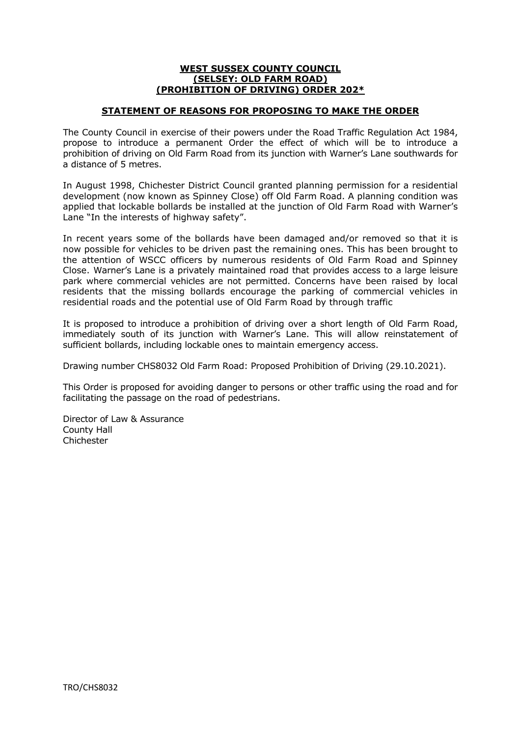#### **WEST SUSSEX COUNTY COUNCIL (SELSEY: OLD FARM ROAD) (PROHIBITION OF DRIVING) ORDER 202\***

#### **STATEMENT OF REASONS FOR PROPOSING TO MAKE THE ORDER**

The County Council in exercise of their powers under the Road Traffic Regulation Act 1984, propose to introduce a permanent Order the effect of which will be to introduce a prohibition of driving on Old Farm Road from its junction with Warner's Lane southwards for a distance of 5 metres.

In August 1998, Chichester District Council granted planning permission for a residential development (now known as Spinney Close) off Old Farm Road. A planning condition was applied that lockable bollards be installed at the junction of Old Farm Road with Warner's Lane "In the interests of highway safety".

In recent years some of the bollards have been damaged and/or removed so that it is now possible for vehicles to be driven past the remaining ones. This has been brought to the attention of WSCC officers by numerous residents of Old Farm Road and Spinney Close. Warner's Lane is a privately maintained road that provides access to a large leisure park where commercial vehicles are not permitted. Concerns have been raised by local residents that the missing bollards encourage the parking of commercial vehicles in residential roads and the potential use of Old Farm Road by through traffic

It is proposed to introduce a prohibition of driving over a short length of Old Farm Road, immediately south of its junction with Warner's Lane. This will allow reinstatement of sufficient bollards, including lockable ones to maintain emergency access.

Drawing number CHS8032 Old Farm Road: Proposed Prohibition of Driving (29.10.2021).

This Order is proposed for avoiding danger to persons or other traffic using the road and for facilitating the passage on the road of pedestrians.

Director of Law & Assurance County Hall Chichester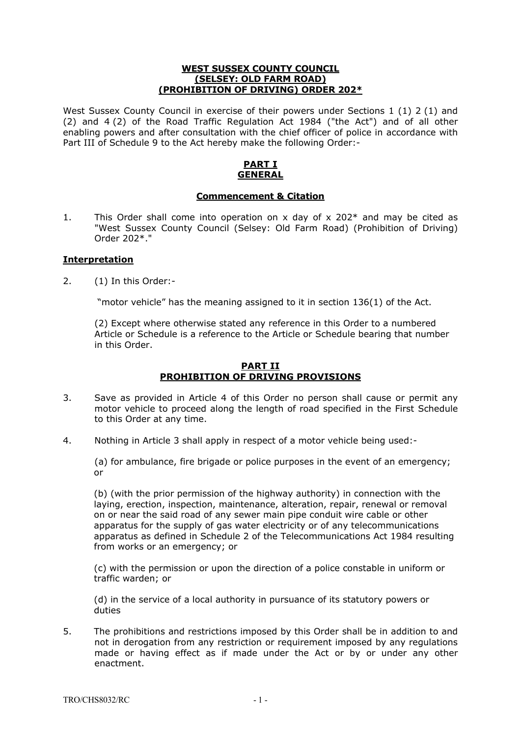#### **WEST SUSSEX COUNTY COUNCIL (SELSEY: OLD FARM ROAD) (PROHIBITION OF DRIVING) ORDER 202\***

West Sussex County Council in exercise of their powers under Sections 1 (1) 2 (1) and (2) and 4 (2) of the Road Traffic Regulation Act 1984 ("the Act") and of all other enabling powers and after consultation with the chief officer of police in accordance with Part III of Schedule 9 to the Act hereby make the following Order:-

### **PART I GENERAL**

#### **Commencement & Citation**

1. This Order shall come into operation on x day of x 202 $*$  and may be cited as "West Sussex County Council (Selsey: Old Farm Road) (Prohibition of Driving) Order 202\*."

#### **Interpretation**

2. (1) In this Order:-

"motor vehicle" has the meaning assigned to it in section 136(1) of the Act.

(2) Except where otherwise stated any reference in this Order to a numbered Article or Schedule is a reference to the Article or Schedule bearing that number in this Order.

#### **PART II PROHIBITION OF DRIVING PROVISIONS**

- 3. Save as provided in Article 4 of this Order no person shall cause or permit any motor vehicle to proceed along the length of road specified in the First Schedule to this Order at any time.
- 4. Nothing in Article 3 shall apply in respect of a motor vehicle being used:-

(a) for ambulance, fire brigade or police purposes in the event of an emergency; or

(b) (with the prior permission of the highway authority) in connection with the laying, erection, inspection, maintenance, alteration, repair, renewal or removal on or near the said road of any sewer main pipe conduit wire cable or other apparatus for the supply of gas water electricity or of any telecommunications apparatus as defined in Schedule 2 of the Telecommunications Act 1984 resulting from works or an emergency; or

(c) with the permission or upon the direction of a police constable in uniform or traffic warden; or

(d) in the service of a local authority in pursuance of its statutory powers or duties

5. The prohibitions and restrictions imposed by this Order shall be in addition to and not in derogation from any restriction or requirement imposed by any regulations made or having effect as if made under the Act or by or under any other enactment.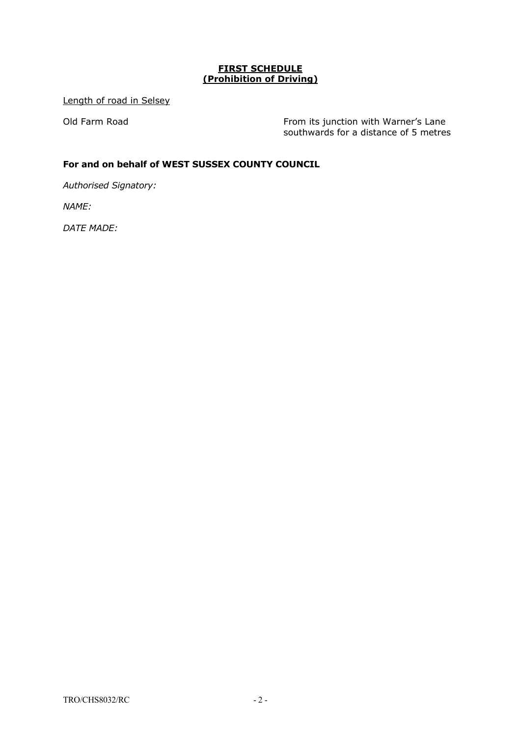### **FIRST SCHEDULE (Prohibition of Driving)**

Length of road in Selsey

Old Farm Road **From its junction with Warner's Lane** southwards for a distance of 5 metres

### **For and on behalf of WEST SUSSEX COUNTY COUNCIL**

*Authorised Signatory:*

*NAME:* 

*DATE MADE:*